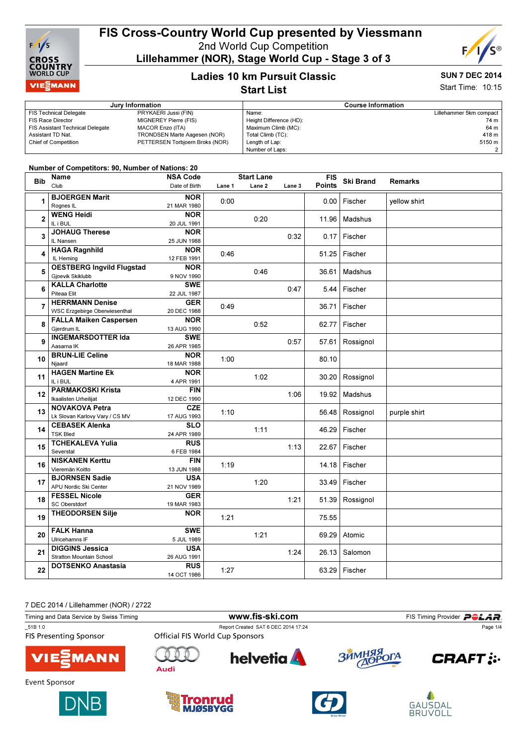

# FIS Cross-Country World Cup presented by Viessmann

2nd World Cup Competition

Lillehammer (NOR), Stage World Cup - Stage 3 of 3



# Ladies 10 km Pursuit Classic

#### SUN 7 DEC 2014 Start Time: 10:15

Start List

|                                         | Jury Information                | <b>Course Information</b> |                         |  |  |
|-----------------------------------------|---------------------------------|---------------------------|-------------------------|--|--|
| <b>FIS Technical Delegate</b>           | PRYKAERI Jussi (FIN)            | Name:                     | Lillehammer 5km compact |  |  |
| FIS Race Director                       | MIGNEREY Pierre (FIS)           | Height Difference (HD):   | 74 m                    |  |  |
| <b>FIS Assistant Technical Delegate</b> | MACOR Enzo (ITA)                | Maximum Climb (MC):       | 64 m                    |  |  |
| Assistant TD Nat.                       | TRONDSEN Marte Aagesen (NOR)    | Total Climb (TC):         | 418 m                   |  |  |
| <b>Chief of Competition</b>             | PETTERSEN Torbjoern Broks (NOR) | Length of Lap:            | 5150 m                  |  |  |
|                                         |                                 | Number of Laps:           |                         |  |  |
|                                         |                                 |                           |                         |  |  |

#### Number of Competitors: 90, Number of Nations: 20

| <b>Bib</b>     | Name                                 | <b>NSA Code</b> |        | <b>Start Lane</b> |        | <b>FIS</b>    | <b>Ski Brand</b>  | <b>Remarks</b> |
|----------------|--------------------------------------|-----------------|--------|-------------------|--------|---------------|-------------------|----------------|
|                | Club                                 | Date of Birth   | Lane 1 | Lane <sub>2</sub> | Lane 3 | <b>Points</b> |                   |                |
|                | <b>BJOERGEN Marit</b>                | <b>NOR</b>      |        |                   |        |               |                   |                |
| 1              | Rognes IL                            | 21 MAR 1980     | 0:00   |                   |        | 0.00          | Fischer           | yellow shirt   |
|                | <b>WENG Heidi</b>                    | <b>NOR</b>      |        |                   |        |               |                   |                |
| $\mathbf 2$    | IL i BUL                             | 20 JUL 1991     |        | 0:20              |        | 11.96         | Madshus           |                |
|                | <b>JOHAUG Therese</b>                | <b>NOR</b>      |        |                   |        |               |                   |                |
| 3              | IL Nansen                            | 25 JUN 1988     |        |                   | 0:32   | 0.17          | Fischer           |                |
|                | <b>HAGA Ragnhild</b>                 | <b>NOR</b>      |        |                   |        |               |                   |                |
| 4              | IL Heming                            | 12 FEB 1991     | 0:46   |                   |        | 51.25         | Fischer           |                |
|                | <b>OESTBERG Ingvild Flugstad</b>     | <b>NOR</b>      |        |                   |        |               |                   |                |
| 5              | Gjoevik Skiklubb                     | 9 NOV 1990      |        | 0:46              |        | 36.61         | Madshus           |                |
|                | <b>KALLA Charlotte</b>               | <b>SWE</b>      |        |                   |        |               |                   |                |
| 6              | Piteaa Elit                          | 22 JUL 1987     |        |                   | 0:47   | 5.44          | Fischer           |                |
| $\overline{7}$ | <b>HERRMANN Denise</b>               | <b>GER</b>      |        |                   |        |               | Fischer           |                |
|                | <b>WSC Erzgebirge Oberwiesenthal</b> | 20 DEC 1988     | 0:49   |                   |        | 36.71         |                   |                |
| 8              | <b>FALLA Maiken Caspersen</b>        | <b>NOR</b>      |        | 0:52              |        | 62.77         | Fischer           |                |
|                | Gjerdrum IL                          | 13 AUG 1990     |        |                   |        |               |                   |                |
| 9              | <b>INGEMARSDOTTER Ida</b>            | <b>SWE</b>      |        |                   | 0:57   | 57.61         | Rossignol         |                |
|                | Aasama IK                            | 26 APR 1985     |        |                   |        |               |                   |                |
| 10             | <b>BRUN-LIE Celine</b>               | <b>NOR</b>      | 1:00   |                   |        | 80.10         |                   |                |
|                | Njaard                               | 18 MAR 1988     |        |                   |        |               |                   |                |
| 11             | <b>HAGEN Martine Ek</b>              | <b>NOR</b>      |        | 1:02              |        | 30.20         | Rossignol         |                |
|                | IL i BUL                             | 4 APR 1991      |        |                   |        |               |                   |                |
| 12             | <b>PARMAKOSKI Krista</b>             | <b>FIN</b>      |        |                   | 1:06   | 19.92         | Madshus           |                |
|                | Ikaalisten Urheilijat                | 12 DEC 1990     |        |                   |        |               |                   |                |
| 13             | <b>NOVAKOVA Petra</b>                | CZE             | 1:10   |                   |        | 56.48         | Rossignol         | purple shirt   |
|                | Lk Slovan Karlovy Vary / CS MV       | 17 AUG 1993     |        |                   |        |               |                   |                |
| 14             | <b>CEBASEK Alenka</b>                | <b>SLO</b>      |        | 1:11              |        | 46.29         | Fischer           |                |
|                | <b>TSK Bled</b>                      | 24 APR 1989     |        |                   |        |               |                   |                |
| 15             | <b>TCHEKALEVA Yulia</b>              | <b>RUS</b>      |        |                   | 1:13   | 22.67         | Fischer           |                |
|                | Severstal                            | 6 FEB 1984      |        |                   |        |               |                   |                |
| 16             | <b>NISKANEN Kerttu</b>               | <b>FIN</b>      | 1:19   |                   |        | 14.18         | Fischer           |                |
|                | Vieremän Koitto                      | 13 JUN 1988     |        |                   |        |               |                   |                |
| 17             | <b>BJORNSEN Sadie</b>                | <b>USA</b>      |        | 1:20              |        | 33.49         | Fischer           |                |
|                | APU Nordic Ski Center                | 21 NOV 1989     |        |                   |        |               |                   |                |
| 18             | <b>FESSEL Nicole</b>                 | <b>GER</b>      |        |                   | 1:21   |               | 51.39   Rossignol |                |
|                | SC Oberstdorf                        | 19 MAR 1983     |        |                   |        |               |                   |                |
| 19             | <b>THEODORSEN Silje</b>              | <b>NOR</b>      | 1:21   |                   |        | 75.55         |                   |                |
|                |                                      |                 |        |                   |        |               |                   |                |
| 20             | <b>FALK Hanna</b>                    | <b>SWE</b>      |        | 1:21              |        | 69.29         | Atomic            |                |
|                | Ulricehamns IF                       | 5 JUL 1989      |        |                   |        |               |                   |                |
| 21             | <b>DIGGINS Jessica</b>               | <b>USA</b>      |        |                   | 1:24   | 26.13         | Salomon           |                |
|                | <b>Stratton Mountain School</b>      | 26 AUG 1991     |        |                   |        |               |                   |                |
| 22             | <b>DOTSENKO Anastasia</b>            | <b>RUS</b>      | 1:27   |                   |        | 63.29         | Fischer           |                |
|                |                                      | 14 OCT 1986     |        |                   |        |               |                   |                |

| DLU ZU 14 / LIIIGHAHHHU (NUN) / ZI ZZ    |                                        |                                     |            |                                    |
|------------------------------------------|----------------------------------------|-------------------------------------|------------|------------------------------------|
| Timing and Data Service by Swiss Timing  |                                        | www.fis-ski.com                     |            | FIS Timing Provider <b>POLAR</b> . |
| 51B 1.0<br><b>FIS Presenting Sponsor</b> | <b>Official FIS World Cup Sponsors</b> | Report Created SAT 6 DEC 2014 17:24 |            | Page 1/4                           |
| <b>VIE</b> MANN                          | Audi                                   | <b>helvetia</b>                     | ЗЙМНЯЯ ОГА | <b>CRAFT</b> :                     |
| Event Sponsor                            |                                        |                                     |            |                                    |







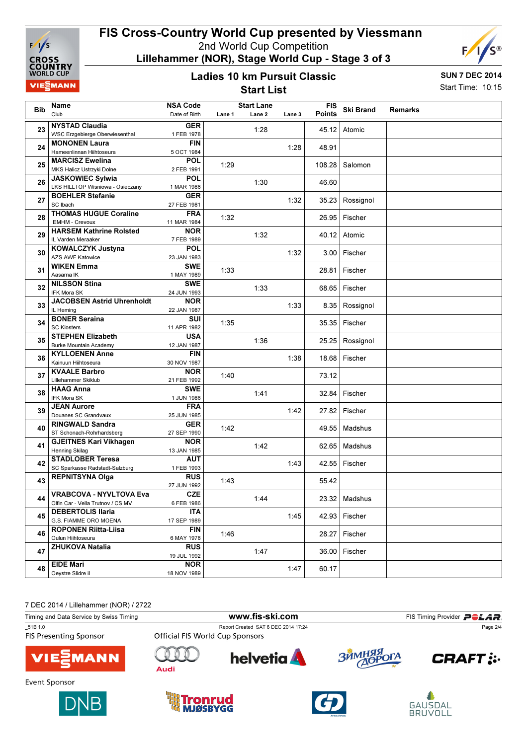

## FIS Cross-Country World Cup presented by Viessmann 2nd World Cup Competition

Lillehammer (NOR), Stage World Cup - Stage 3 of 3

# F, r ®

### Ladies 10 km Pursuit Classic Start List

SUN 7 DEC 2014 Start Time: 10:15

|            | Name                                                   | <b>NSA Code</b>           |        | <b>Start Lane</b> |        | <b>FIS</b>    |                  |         |
|------------|--------------------------------------------------------|---------------------------|--------|-------------------|--------|---------------|------------------|---------|
| <b>Bib</b> | Club                                                   | Date of Birth             | Lane 1 | Lane 2            | Lane 3 | <b>Points</b> | <b>Ski Brand</b> | Remarks |
|            | <b>NYSTAD Claudia</b>                                  | <b>GER</b>                |        |                   |        |               |                  |         |
| 23         | WSC Erzgebierge Oberwiesenthal                         | 1 FEB 1978                |        | 1:28              |        | 45.12         | Atomic           |         |
|            | <b>MONONEN Laura</b>                                   | <b>FIN</b>                |        |                   |        |               |                  |         |
| 24         | Hameenlinnan Hiihtoseura                               | 5 OCT 1984                |        |                   | 1:28   | 48.91         |                  |         |
|            | <b>MARCISZ Ewelina</b>                                 | <b>POL</b>                |        |                   |        |               |                  |         |
| 25         | MKS Halicz Ustrzyki Dolne                              | 2 FEB 1991                | 1:29   |                   |        | 108.28        | Salomon          |         |
|            | <b>JASKOWIEC Sylwia</b>                                | <b>POL</b>                |        |                   |        |               |                  |         |
| 26         | LKS HILLTOP Wisniowa - Osieczany                       | 1 MAR 1986                |        | 1:30              |        | 46.60         |                  |         |
| 27         | <b>BOEHLER Stefanie</b>                                | <b>GER</b>                |        |                   | 1:32   |               |                  |         |
|            | SC Ibach                                               | 27 FEB 1981               |        |                   |        | 35.23         | Rossignol        |         |
| 28         | <b>THOMAS HUGUE Coraline</b>                           | <b>FRA</b>                | 1:32   |                   |        | 26.95         | Fischer          |         |
|            | <b>EMHM - Crevoux</b>                                  | 11 MAR 1984               |        |                   |        |               |                  |         |
| 29         | <b>HARSEM Kathrine Rolsted</b>                         | <b>NOR</b>                |        | 1:32              |        |               | 40.12 Atomic     |         |
|            | IL Varden Meraaker                                     | 7 FEB 1989                |        |                   |        |               |                  |         |
| 30         | KOWALCZYK Justyna                                      | <b>POL</b>                |        |                   | 1:32   |               | 3.00 Fischer     |         |
|            | AZS AWF Katowice                                       | 23 JAN 1983               |        |                   |        |               |                  |         |
| 31         | <b>WIKEN Emma</b>                                      | <b>SWE</b>                | 1:33   |                   |        | 28.81         | Fischer          |         |
|            | Aasama IK                                              | 1 MAY 1989                |        |                   |        |               |                  |         |
| 32         | <b>NILSSON Stina</b><br>IFK Mora SK                    | <b>SWE</b><br>24 JUN 1993 |        | 1:33              |        | 68.65         | Fischer          |         |
|            | <b>JACOBSEN Astrid Uhrenholdt</b>                      | <b>NOR</b>                |        |                   |        |               |                  |         |
| 33         | IL Heming                                              | 22 JAN 1987               |        |                   | 1:33   |               | 8.35   Rossignol |         |
|            | <b>BONER Seraina</b>                                   | SUI                       |        |                   |        |               |                  |         |
| 34         | <b>SC Klosters</b>                                     | 11 APR 1982               | 1:35   |                   |        | 35.35         | Fischer          |         |
| 35         | <b>STEPHEN Elizabeth</b>                               | <b>USA</b>                |        |                   |        |               |                  |         |
|            | <b>Burke Mountain Academy</b>                          | 12 JAN 1987               |        | 1:36              |        | 25.25         | Rossignol        |         |
|            | <b>KYLLOENEN Anne</b>                                  | <b>FIN</b>                |        |                   |        |               |                  |         |
| 36         | Kainuun Hiihtoseura                                    | 30 NOV 1987               |        |                   | 1:38   | 18.68         | Fischer          |         |
| 37         | <b>KVAALE Barbro</b>                                   | <b>NOR</b>                | 1:40   |                   |        | 73.12         |                  |         |
|            | Lillehammer Skiklub                                    | 21 FEB 1992               |        |                   |        |               |                  |         |
| 38         | <b>HAAG Anna</b>                                       | <b>SWE</b>                |        | 1:41              |        | 32.84         | Fischer          |         |
|            | IFK Mora SK                                            | 1 JUN 1986                |        |                   |        |               |                  |         |
| 39         | <b>JEAN Aurore</b>                                     | <b>FRA</b>                |        |                   | 1:42   |               | 27.82 Fischer    |         |
|            | Douanes SC Grandvaux                                   | 25 JUN 1985               |        |                   |        |               |                  |         |
| 40         | <b>RINGWALD Sandra</b>                                 | <b>GER</b>                | 1:42   |                   |        | 49.55         | Madshus          |         |
|            | ST Schonach-Rohrhardsberg                              | 27 SEP 1990               |        |                   |        |               |                  |         |
| 41         | <b>GJEITNES Kari Vikhagen</b><br><b>Henning Skilag</b> | <b>NOR</b><br>13 JAN 1985 |        | 1:42              |        | 62.65         | Madshus          |         |
|            | <b>STADLOBER Teresa</b>                                | <b>AUT</b>                |        |                   |        |               |                  |         |
| 42         | SC Sparkasse Radstadt-Salzburg                         | 1 FEB 1993                |        |                   | 1:43   |               | 42.55   Fischer  |         |
|            | <b>REPNITSYNA Olga</b>                                 | <b>RUS</b>                |        |                   |        |               |                  |         |
| 43         |                                                        | 27 JUN 1992               | 1:43   |                   |        | 55.42         |                  |         |
|            | <b>VRABCOVA - NYVLTOVA Eva</b>                         | CZE                       |        |                   |        |               |                  |         |
| 44         | Olfin Car - Vella Trutnov / CS MV                      | 6 FEB 1986                |        | 1:44              |        |               | 23.32 Madshus    |         |
|            | <b>DEBERTOLIS Ilaria</b>                               | ITA                       |        |                   |        |               |                  |         |
| 45         | G.S. FIAMME ORO MOENA                                  | 17 SEP 1989               |        |                   | 1:45   |               | 42.93 Fischer    |         |
| 46         | <b>ROPONEN Riitta-Liisa</b>                            | <b>FIN</b>                | 1:46   |                   |        |               | 28.27 Fischer    |         |
|            | Oulun Hiihtoseura                                      | 6 MAY 1978                |        |                   |        |               |                  |         |
| 47         | <b>ZHUKOVA Natalia</b>                                 | <b>RUS</b>                |        | 1:47              |        |               | 36.00 Fischer    |         |
|            |                                                        | 19 JUL 1992               |        |                   |        |               |                  |         |
| 48         | <b>EIDE Mari</b>                                       | <b>NOR</b>                |        |                   | 1:47   | 60.17         |                  |         |
|            | Oeystre Slidre il                                      | 18 NOV 1989               |        |                   |        |               |                  |         |

| Timing and Data Service by Swiss Timing  |                                        | www.fis-ski.com                     |            | FIS Timing Provider POLAR. |  |  |
|------------------------------------------|----------------------------------------|-------------------------------------|------------|----------------------------|--|--|
| 51B 1.0<br><b>FIS Presenting Sponsor</b> | <b>Official FIS World Cup Sponsors</b> | Report Created SAT 6 DEC 2014 17:24 |            | Page 2/4                   |  |  |
| <b>VIE EMANN</b>                         | Audi                                   | <b>helvetia</b>                     | ЗЙМНЯЯ ОГА | <b>CRAFT</b> :             |  |  |
| Event Sponsor                            |                                        |                                     |            |                            |  |  |







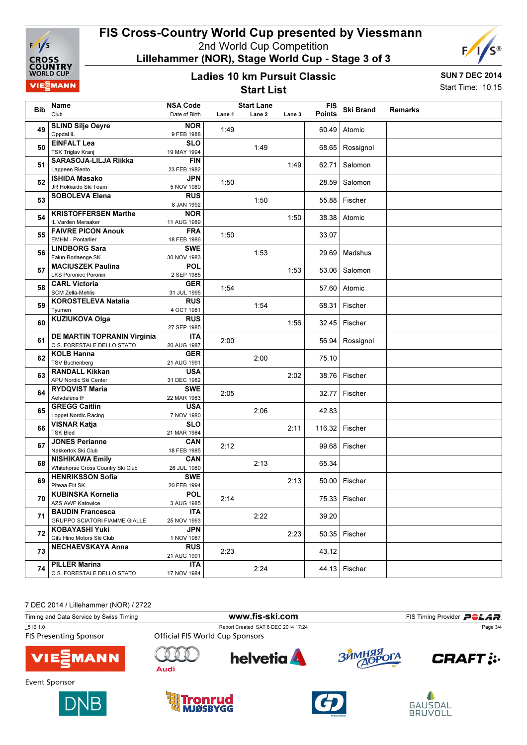

## FIS Cross-Country World Cup presented by Viessmann 2nd World Cup Competition

Lillehammer (NOR), Stage World Cup - Stage 3 of 3



#### Ladies 10 km Pursuit Classic Start List

SUN 7 DEC 2014 Start Time: 10:15

|            | Name                                                        | <b>NSA Code</b>           |        | <b>Start Lane</b> |        | <b>FIS</b>    |                   |                |
|------------|-------------------------------------------------------------|---------------------------|--------|-------------------|--------|---------------|-------------------|----------------|
| <b>Bib</b> | Club                                                        | Date of Birth             | Lane 1 | Lane 2            | Lane 3 | <b>Points</b> | <b>Ski Brand</b>  | <b>Remarks</b> |
|            | <b>SLIND Silje Oeyre</b>                                    | <b>NOR</b>                |        |                   |        |               |                   |                |
| 49         | Oppdal IL                                                   | 9 FEB 1988                | 1:49   |                   |        | 60.49         | Atomic            |                |
| 50         | <b>EINFALT Lea</b>                                          | <b>SLO</b>                |        | 1:49              |        |               | 68.65   Rossignol |                |
|            | <b>TSK Triglav Kranj</b>                                    | 19 MAY 1994               |        |                   |        |               |                   |                |
| 51         | <b>SARASOJA-LILJA Riikka</b>                                | <b>FIN</b>                |        |                   | 1:49   | 62.71         | Salomon           |                |
|            | Lappeen Riento                                              | 23 FEB 1982               |        |                   |        |               |                   |                |
| 52         | <b>ISHIDA Masako</b><br>JR Hokkaido Ski Team                | JPN<br>5 NOV 1980         | 1:50   |                   |        | 28.59         | Salomon           |                |
|            | <b>SOBOLEVA Elena</b>                                       | <b>RUS</b>                |        |                   |        |               |                   |                |
| 53         |                                                             | 8 JAN 1992                |        | 1:50              |        |               | 55.88 Fischer     |                |
|            | <b>KRISTOFFERSEN Marthe</b>                                 | <b>NOR</b>                |        |                   |        |               |                   |                |
| 54         | IL Varden Meraaker                                          | 11 AUG 1989               |        |                   | 1:50   | 38.38 I       | Atomic            |                |
| 55         | <b>FAIVRE PICON Anouk</b>                                   | <b>FRA</b>                | 1:50   |                   |        | 33.07         |                   |                |
|            | <b>EMHM - Pontarlier</b>                                    | 18 FEB 1986               |        |                   |        |               |                   |                |
| 56         | <b>LINDBORG Sara</b>                                        | <b>SWE</b>                |        | 1:53              |        | 29.69         | Madshus           |                |
|            | Falun-Borlaenge SK                                          | 30 NOV 1983               |        |                   |        |               |                   |                |
| 57         | <b>MACIUSZEK Paulina</b>                                    | <b>POL</b>                |        |                   | 1:53   | 53.06         | Salomon           |                |
|            | <b>LKS Poroniec Poronin</b><br><b>CARL Victoria</b>         | 2 SEP 1985<br><b>GER</b>  |        |                   |        |               |                   |                |
| 58         | <b>SCM Zella-Mehlis</b>                                     | 31 JUL 1995               | 1:54   |                   |        |               | 57.60 Atomic      |                |
|            | <b>KOROSTELEVA Natalia</b>                                  | <b>RUS</b>                |        |                   |        |               |                   |                |
| 59         | Tyumen                                                      | 4 OCT 1981                |        | 1:54              |        |               | 68.31 Fischer     |                |
|            | KUZIUKOVA Olga                                              | <b>RUS</b>                |        |                   |        |               |                   |                |
| 60         |                                                             | 27 SEP 1985               |        |                   | 1:56   |               | 32.45 Fischer     |                |
| 61         | DE MARTIN TOPRANIN Virginia                                 | <b>ITA</b>                | 2:00   |                   |        |               | 56.94 Rossignol   |                |
|            | C.S. FORESTALE DELLO STATO                                  | 20 AUG 1987               |        |                   |        |               |                   |                |
| 62         | <b>KOLB Hanna</b>                                           | <b>GER</b>                |        | 2:00              |        | 75.10         |                   |                |
|            | <b>TSV Buchenberg</b>                                       | 21 AUG 1991               |        |                   |        |               |                   |                |
| 63         | <b>RANDALL Kikkan</b><br>APU Nordic Ski Center              | <b>USA</b><br>31 DEC 1982 |        |                   | 2:02   |               | 38.76   Fischer   |                |
|            | <b>RYDQVIST Maria</b>                                       | <b>SWE</b>                |        |                   |        |               |                   |                |
| 64         | Aelvdalens IF                                               | 22 MAR 1983               | 2:05   |                   |        | 32.77         | Fischer           |                |
|            | <b>GREGG Caitlin</b>                                        | <b>USA</b>                |        |                   |        |               |                   |                |
| 65         | Loppet Nordic Racing                                        | 7 NOV 1980                |        | 2:06              |        | 42.83         |                   |                |
| 66         | <b>VISNAR Katja</b>                                         | <b>SLO</b>                |        |                   | 2:11   |               | 116.32 Fischer    |                |
|            | <b>TSK Bled</b>                                             | 21 MAR 1984               |        |                   |        |               |                   |                |
| 67         | <b>JONES Perianne</b>                                       | <b>CAN</b>                | 2:12   |                   |        | 99.68         | Fischer           |                |
|            | Nakkertok Ski Club                                          | 18 FEB 1985               |        |                   |        |               |                   |                |
| 68         | <b>NISHIKAWA Emily</b><br>Whitehorse Cross Country Ski Club | CAN<br>26 JUL 1989        |        | 2:13              |        | 65.34         |                   |                |
|            | <b>HENRIKSSON Sofia</b>                                     | <b>SWE</b>                |        |                   |        |               |                   |                |
| 69         | Piteaa Elit SK                                              | 20 FEB 1994               |        |                   | 2:13   |               | 50.00   Fischer   |                |
|            | <b>KUBINSKA Kornelia</b>                                    | <b>POL</b>                |        |                   |        |               |                   |                |
| 70         | AZS AWF Katowice                                            | 3 AUG 1985                | 2:14   |                   |        |               | 75.33 Fischer     |                |
| 71         | <b>BAUDIN Francesca</b>                                     | ITA                       |        | 2:22              |        | 39.20         |                   |                |
|            | <b>GRUPPO SCIATORI FIAMME GIALLE</b>                        | 25 NOV 1993               |        |                   |        |               |                   |                |
| 72         | <b>KOBAYASHI Yuki</b>                                       | <b>JPN</b>                |        |                   | 2:23   |               | 50.35 Fischer     |                |
|            | Gifu Hino Motors Ski Club                                   | 1 NOV 1987                |        |                   |        |               |                   |                |
| 73         | <b>NECHAEVSKAYA Anna</b>                                    | <b>RUS</b>                | 2:23   |                   |        | 43.12         |                   |                |
|            | <b>PILLER Marina</b>                                        | 21 AUG 1991<br>ITA        |        |                   |        |               |                   |                |
| 74         | C.S. FORESTALE DELLO STATO                                  | 17 NOV 1984               |        | 2:24              |        |               | 44.13 Fischer     |                |
|            |                                                             |                           |        |                   |        |               |                   |                |

| Timing and Data Service by Swiss Timing  |                                        | www.fis-ski.com                     |            | FIS Timing Provider <b>POLAR</b> |  |  |
|------------------------------------------|----------------------------------------|-------------------------------------|------------|----------------------------------|--|--|
| 51B 1.0<br><b>FIS Presenting Sponsor</b> | <b>Official FIS World Cup Sponsors</b> | Report Created SAT 6 DEC 2014 17:24 |            | Page 3/4                         |  |  |
| <b>VIE</b> MANN                          | Audi                                   | <b>helvetia</b>                     | ЗЙМНЯЯ ОГА | <b>CRAFT: :-</b>                 |  |  |
| Event Sponsor                            |                                        |                                     |            |                                  |  |  |